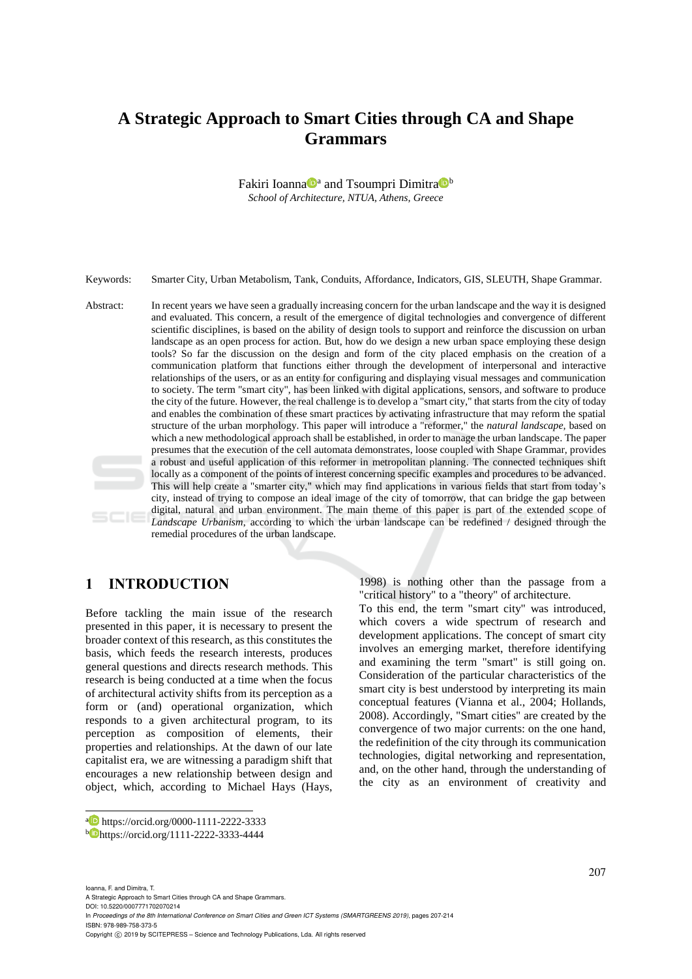# **A Strategic Approach to Smart Cities through CA and Shape Grammars**

Fakiri Ioanna<sup>Da</sup> and Tsoumpri Dimitra<sup>Db</sup> *School of Architecture, NTUA, Athens, Greece* 

Keywords: Smarter City, Urban Metabolism, Tank, Conduits, Affordance, Indicators, GIS, SLEUTH, Shape Grammar.

Abstract: In recent years we have seen a gradually increasing concern for the urban landscape and the way it is designed and evaluated. This concern, a result of the emergence of digital technologies and convergence of different scientific disciplines, is based on the ability of design tools to support and reinforce the discussion on urban landscape as an open process for action. But, how do we design a new urban space employing these design tools? So far the discussion on the design and form of the city placed emphasis on the creation of a communication platform that functions either through the development of interpersonal and interactive relationships of the users, or as an entity for configuring and displaying visual messages and communication to society. The term "smart city", has been linked with digital applications, sensors, and software to produce the city of the future. However, the real challenge is to develop a "smart city," that starts from the city of today and enables the combination of these smart practices by activating infrastructure that may reform the spatial structure of the urban morphology. This paper will introduce a "reformer," the *natural landscape,* based on which a new methodological approach shall be established, in order to manage the urban landscape. The paper presumes that the execution of the cell automata demonstrates, loose coupled with Shape Grammar, provides a robust and useful application of this reformer in metropolitan planning. The connected techniques shift locally as a component of the points of interest concerning specific examples and procedures to be advanced. This will help create a "smarter city," which may find applications in various fields that start from today's city, instead of trying to compose an ideal image of the city of tomorrow, that can bridge the gap between digital, natural and urban environment. The main theme of this paper is part of the extended scope of *Landscape Urbanism*, according to which the urban landscape can be redefined / designed through the remedial procedures of the urban landscape.

## **1 INTRODUCTION**

Before tackling the main issue of the research presented in this paper, it is necessary to present the broader context of this research, as this constitutes the basis, which feeds the research interests, produces general questions and directs research methods. This research is being conducted at a time when the focus of architectural activity shifts from its perception as a form or (and) operational organization, which responds to a given architectural program, to its perception as composition of elements, their properties and relationships. At the dawn of our late capitalist era, we are witnessing a paradigm shift that encourages a new relationship between design and object, which, according to Michael Hays (Hays,

Ioanna, F. and Dimitra, T.

 $\overline{a}$ 

A Strategic Approach to Smart Cities through CA and Shape Grammars.

DOI: 10.5220/0007771702070214 In *Proceedings of the 8th International Conference on Smart Cities and Green ICT Systems (SMARTGREENS 2019)*, pages 207-214 ISBN: 978-989-758-373-5

Copyright C 2019 by SCITEPRESS - Science and Technology Publications, Lda. All rights reserved

1998) is nothing other than the passage from a "critical history" to a "theory" of architecture.

To this end, the term "smart city" was introduced, which covers a wide spectrum of research and development applications. The concept of smart city involves an emerging market, therefore identifying and examining the term "smart" is still going on. Consideration of the particular characteristics of the smart city is best understood by interpreting its main conceptual features (Vianna et al., 2004; Hollands, 2008). Accordingly, "Smart cities" are created by the convergence of two major currents: on the one hand, the redefinition of the city through its communication technologies, digital networking and representation, and, on the other hand, through the understanding of the city as an environment of creativity and

a https://orcid.org/0000-1111-2222-3333

<sup>b</sup> https://orcid.org/1111-2222-3333-4444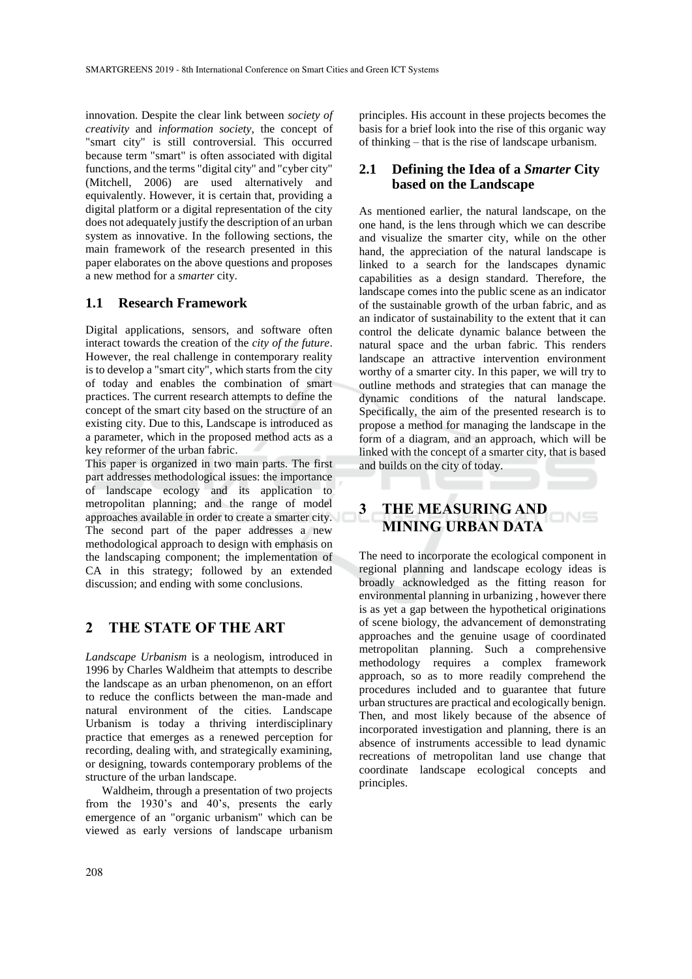innovation. Despite the clear link between *society of creativity* and *information society*, the concept of "smart city" is still controversial. This occurred because term "smart" is often associated with digital functions, and the terms "digital city" and "cyber city" (Mitchell, 2006) are used alternatively and equivalently. However, it is certain that, providing a digital platform or a digital representation of the city does not adequately justify the description of an urban system as innovative. In the following sections, the main framework of the research presented in this paper elaborates on the above questions and proposes a new method for a *smarter* city.

#### **1.1 Research Framework**

Digital applications, sensors, and software often interact towards the creation of the *city of the future*. However, the real challenge in contemporary reality is to develop a "smart city", which starts from the city of today and enables the combination of smart practices. The current research attempts to define the concept of the smart city based on the structure of an existing city. Due to this, Landscape is introduced as a parameter, which in the proposed method acts as a key reformer of the urban fabric.

This paper is organized in two main parts. The first part addresses methodological issues: the importance of landscape ecology and its application to metropolitan planning; and the range of model approaches available in order to create a smarter city. The second part of the paper addresses a new methodological approach to design with emphasis on the landscaping component; the implementation of CA in this strategy; followed by an extended discussion; and ending with some conclusions.

## **2 THE STATE OF THE ART**

*Landscape Urbanism* is a neologism, introduced in 1996 by Charles Waldheim that attempts to describe the landscape as an urban phenomenon, on an effort to reduce the conflicts between the man-made and natural environment of the cities. Landscape Urbanism is today a thriving interdisciplinary practice that emerges as a renewed perception for recording, dealing with, and strategically examining, or designing, towards contemporary problems of the structure of the urban landscape.

Waldheim, through a presentation of two projects from the 1930's and 40's, presents the early emergence of an "organic urbanism" which can be viewed as early versions of landscape urbanism

principles. His account in these projects becomes the basis for a brief look into the rise of this organic way of thinking – that is the rise of landscape urbanism.

## **2.1 Defining the Idea of a** *Smarter* **City based on the Landscape**

As mentioned earlier, the natural landscape, on the one hand, is the lens through which we can describe and visualize the smarter city, while on the other hand, the appreciation of the natural landscape is linked to a search for the landscapes dynamic capabilities as a design standard. Therefore, the landscape comes into the public scene as an indicator of the sustainable growth of the urban fabric, and as an indicator of sustainability to the extent that it can control the delicate dynamic balance between the natural space and the urban fabric. This renders landscape an attractive intervention environment worthy of a smarter city. In this paper, we will try to outline methods and strategies that can manage the dynamic conditions of the natural landscape. Specifically, the aim of the presented research is to propose a method for managing the landscape in the form of a diagram, and an approach, which will be linked with the concept of a smarter city, that is based and builds on the city of today.

# **3 THE MEASURING AND MINING URBAN DATA**

The need to incorporate the ecological component in regional planning and landscape ecology ideas is broadly acknowledged as the fitting reason for environmental planning in urbanizing , however there is as yet a gap between the hypothetical originations of scene biology, the advancement of demonstrating approaches and the genuine usage of coordinated metropolitan planning. Such a comprehensive methodology requires a complex framework approach, so as to more readily comprehend the procedures included and to guarantee that future urban structures are practical and ecologically benign. Then, and most likely because of the absence of incorporated investigation and planning, there is an absence of instruments accessible to lead dynamic recreations of metropolitan land use change that coordinate landscape ecological concepts and principles.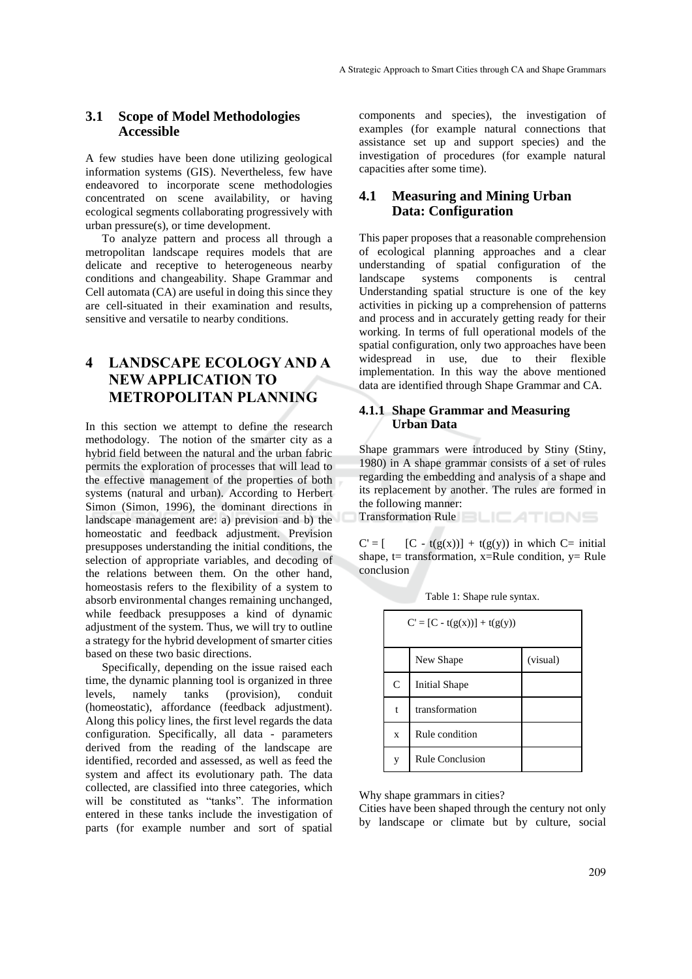#### **3.1 Scope of Model Methodologies Accessible**

A few studies have been done utilizing geological information systems (GIS). Nevertheless, few have endeavored to incorporate scene methodologies concentrated on scene availability, or having ecological segments collaborating progressively with urban pressure(s), or time development.

To analyze pattern and process all through a metropolitan landscape requires models that are delicate and receptive to heterogeneous nearby conditions and changeability. Shape Grammar and Cell automata (CA) are useful in doing this since they are cell-situated in their examination and results, sensitive and versatile to nearby conditions.

# **4 LANDSCAPE ECOLOGY AND A NEW APPLICATION TO METROPOLITAN PLANNING**

In this section we attempt to define the research methodology. The notion of the smarter city as a hybrid field between the natural and the urban fabric permits the exploration of processes that will lead to the effective management of the properties of both systems (natural and urban). According to Herbert Simon (Simon, 1996), the dominant directions in landscape management are: a) prevision and b) the homeostatic and feedback adjustment. Prevision presupposes understanding the initial conditions, the selection of appropriate variables, and decoding of the relations between them. On the other hand, homeostasis refers to the flexibility of a system to absorb environmental changes remaining unchanged, while feedback presupposes a kind of dynamic adjustment of the system. Thus, we will try to outline a strategy for the hybrid development of smarter cities based on these two basic directions.

Specifically, depending on the issue raised each time, the dynamic planning tool is organized in three<br>levels, namely tanks (provision), conduit namely tanks (provision), conduit (homeostatic), affordance (feedback adjustment). Along this policy lines, the first level regards the data configuration. Specifically, all data - parameters derived from the reading of the landscape are identified, recorded and assessed, as well as feed the system and affect its evolutionary path. The data collected, are classified into three categories, which will be constituted as "tanks". The information entered in these tanks include the investigation of parts (for example number and sort of spatial

components and species), the investigation of examples (for example natural connections that assistance set up and support species) and the investigation of procedures (for example natural capacities after some time).

### **4.1 Measuring and Mining Urban Data: Configuration**

This paper proposes that a reasonable comprehension of ecological planning approaches and a clear understanding of spatial configuration of the landscape systems components is central Understanding spatial structure is one of the key activities in picking up a comprehension of patterns and process and in accurately getting ready for their working. In terms of full operational models of the spatial configuration, only two approaches have been widespread in use, due to their flexible implementation. In this way the above mentioned data are identified through Shape Grammar and CA.

#### **4.1.1 Shape Grammar and Measuring Urban Data**

Shape grammars were introduced by Stiny (Stiny, 1980) in A shape grammar consists of a set of rules regarding the embedding and analysis of a shape and its replacement by another. The rules are formed in the following manner:

Transformation Rule **BLICATIONS** 

 $C' = [$  [C - t(g(x))] + t(g(y)) in which C= initial shape,  $t=$  transformation,  $x=R$ ule condition,  $y=$  Rule conclusion

|              | $C' = [C - t(g(x))] + t(g(y))$ |          |
|--------------|--------------------------------|----------|
|              | New Shape                      | (visual) |
| $\mathsf{C}$ | <b>Initial Shape</b>           |          |
| t            | transformation                 |          |
| $\mathbf x$  | Rule condition                 |          |
| V            | <b>Rule Conclusion</b>         |          |

Table 1: Shape rule syntax.

Why shape grammars in cities?

Cities have been shaped through the century not only by landscape or climate but by culture, social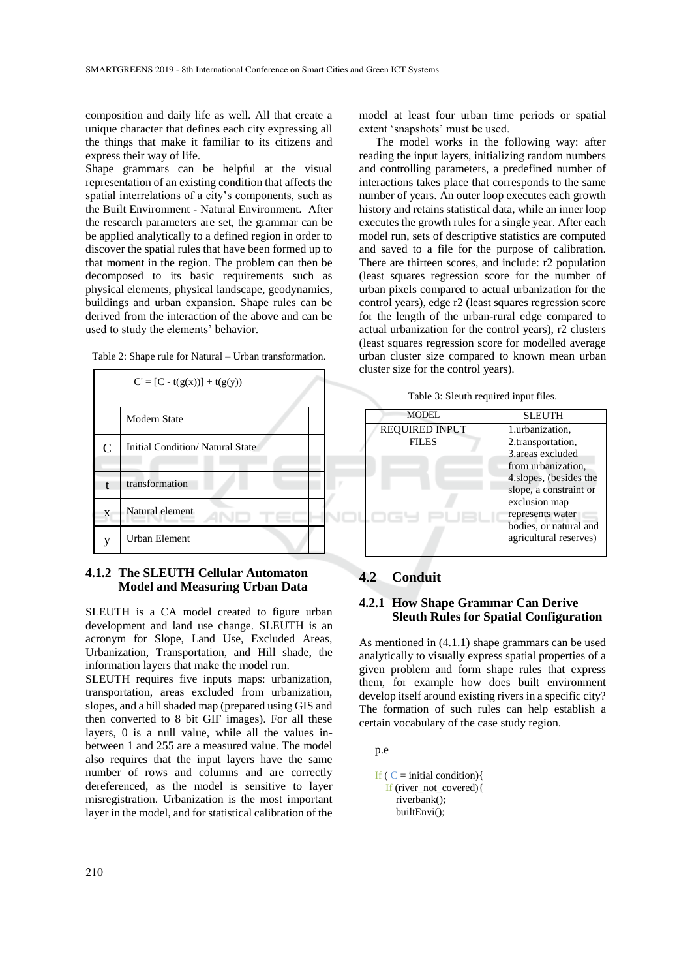composition and daily life as well. All that create a unique character that defines each city expressing all the things that make it familiar to its citizens and express their way of life.

Shape grammars can be helpful at the visual representation of an existing condition that affects the spatial interrelations of a city's components, such as the Built Environment - Natural Environment. After the research parameters are set, the grammar can be be applied analytically to a defined region in order to discover the spatial rules that have been formed up to that moment in the region. The problem can then be decomposed to its basic requirements such as physical elements, physical landscape, geodynamics, buildings and urban expansion. Shape rules can be derived from the interaction of the above and can be used to study the elements' behavior.



Table 2: Shape rule for Natural – Urban transformation.

#### **4.1.2 The SLEUTH Cellular Automaton Model and Measuring Urban Data**

SLEUTH is a CA model created to figure urban development and land use change. SLEUTH is an acronym for Slope, Land Use, Excluded Areas, Urbanization, Transportation, and Hill shade, the information layers that make the model run.

SLEUTH requires five inputs maps: urbanization, transportation, areas excluded from urbanization, slopes, and a hill shaded map (prepared using GIS and then converted to 8 bit GIF images). For all these layers, 0 is a null value, while all the values inbetween 1 and 255 are a measured value. The model also requires that the input layers have the same number of rows and columns and are correctly dereferenced, as the model is sensitive to layer misregistration. Urbanization is the most important layer in the model, and for statistical calibration of the

model at least four urban time periods or spatial extent 'snapshots' must be used.

The model works in the following way: after reading the input layers, initializing random numbers and controlling parameters, a predefined number of interactions takes place that corresponds to the same number of years. An outer loop executes each growth history and retains statistical data, while an inner loop executes the growth rules for a single year. After each model run, sets of descriptive statistics are computed and saved to a file for the purpose of calibration. There are thirteen scores, and include: r2 population (least squares regression score for the number of urban pixels compared to actual urbanization for the control years), edge r2 (least squares regression score for the length of the urban-rural edge compared to actual urbanization for the control years), r2 clusters (least squares regression score for modelled average urban cluster size compared to known mean urban cluster size for the control years).



#### **4.2 Conduit**

#### **4.2.1 How Shape Grammar Can Derive Sleuth Rules for Spatial Configuration**

As mentioned in (4.1.1) shape grammars can be used analytically to visually express spatial properties of a given problem and form shape rules that express them, for example how does built environment develop itself around existing rivers in a specific city? The formation of such rules can help establish a certain vocabulary of the case study region.

p.e

```
If (C = initial condition){
 If (river_not_covered){
    riverbank();
    builtEnvi();
```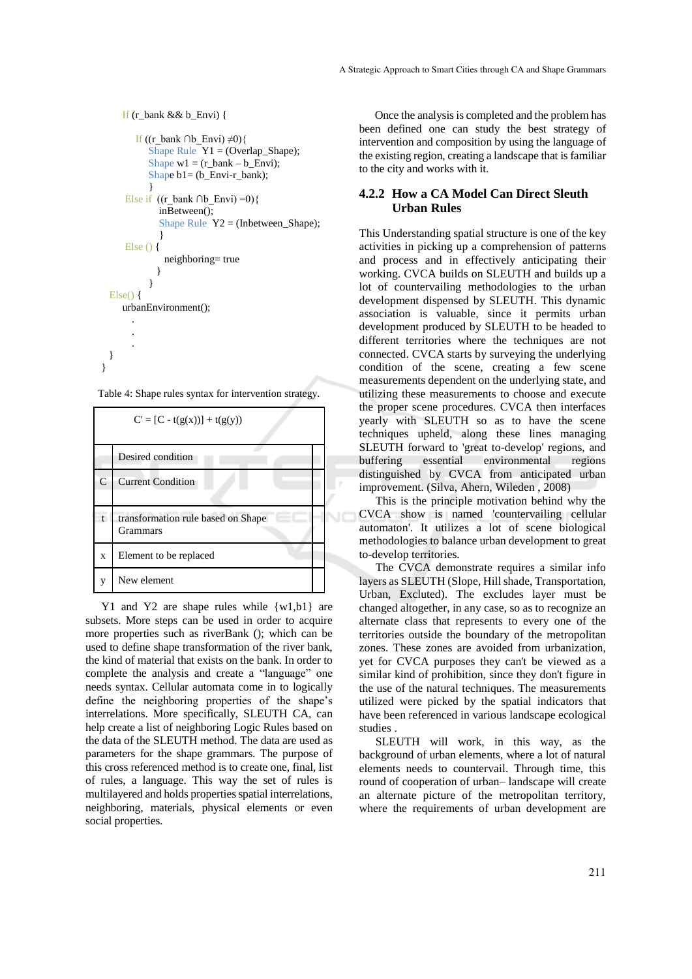```
 If (r_bank && b_Envi) {
       If ((r_bank ∩b_Envi) \neq0){
          Shape Rule Y1 = (Overlap_Shape);Shape w1 = (r \space bank - b \space Envi);Shape b1= (b_Envi-r_bank);
           }
    Else if ((r \t bank \t \t \t\t\t(b \t \t \t\t\t\tEnvi) = 0)inBetween();
             Shape Rule Y2 = (Inbetween\_Shape);}
    Else () {
              neighboring= true
             }
}
Else() {
    urbanEnvironment();
      .
      .
      .
}
```
Table 4: Shape rules syntax for intervention strategy.

}

| $C' = [C - t(g(x))] + t(g(y))$ |                                                       |  |  |
|--------------------------------|-------------------------------------------------------|--|--|
|                                | Desired condition                                     |  |  |
| $\overline{C}$                 | <b>Current Condition</b>                              |  |  |
| $\mathbf{t}$                   | transformation rule based on Shape<br><b>Grammars</b> |  |  |
| X                              | Element to be replaced                                |  |  |
| V                              | New element                                           |  |  |

Y<sub>1</sub> and Y<sub>2</sub> are shape rules while  $\{w1,b1\}$  are subsets. More steps can be used in order to acquire more properties such as riverBank (); which can be used to define shape transformation of the river bank, the kind of material that exists on the bank. In order to complete the analysis and create a "language" one needs syntax. Cellular automata come in to logically define the neighboring properties of the shape's interrelations. More specifically, SLEUTH CA, can help create a list of neighboring Logic Rules based on the data of the SLEUTH method. The data are used as parameters for the shape grammars. The purpose of this cross referenced method is to create one, final, list of rules, a language. This way the set of rules is multilayered and holds properties spatial interrelations, neighboring, materials, physical elements or even social properties.

Once the analysis is completed and the problem has been defined one can study the best strategy of intervention and composition by using the language of the existing region, creating a landscape that is familiar to the city and works with it.

#### **4.2.2 How a CA Model Can Direct Sleuth Urban Rules**

This Understanding spatial structure is one of the key activities in picking up a comprehension of patterns and process and in effectively anticipating their working. CVCA builds on SLEUTH and builds up a lot of countervailing methodologies to the urban development dispensed by SLEUTH. This dynamic association is valuable, since it permits urban development produced by SLEUTH to be headed to different territories where the techniques are not connected. CVCA starts by surveying the underlying condition of the scene, creating a few scene measurements dependent on the underlying state, and utilizing these measurements to choose and execute the proper scene procedures. CVCA then interfaces yearly with SLEUTH so as to have the scene techniques upheld, along these lines managing SLEUTH forward to 'great to-develop' regions, and buffering essential environmental regions distinguished by CVCA from anticipated urban improvement. (Silva, Ahern, Wileden , 2008)

This is the principle motivation behind why the CVCA show is named 'countervailing cellular automaton'. It utilizes a lot of scene biological methodologies to balance urban development to great to-develop territories.

The CVCA demonstrate requires a similar info layers as SLEUTH (Slope, Hill shade, Transportation, Urban, Excluted). The excludes layer must be changed altogether, in any case, so as to recognize an alternate class that represents to every one of the territories outside the boundary of the metropolitan zones. These zones are avoided from urbanization, yet for CVCA purposes they can't be viewed as a similar kind of prohibition, since they don't figure in the use of the natural techniques. The measurements utilized were picked by the spatial indicators that have been referenced in various landscape ecological studies .

SLEUTH will work, in this way, as the background of urban elements, where a lot of natural elements needs to countervail. Through time, this round of cooperation of urban– landscape will create an alternate picture of the metropolitan territory, where the requirements of urban development are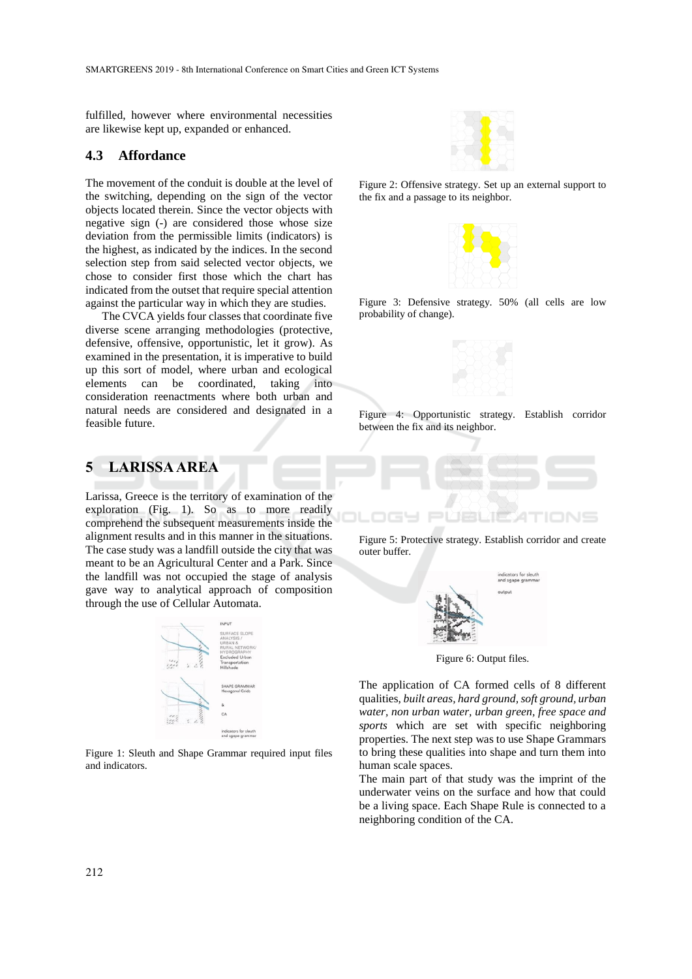fulfilled, however where environmental necessities are likewise kept up, expanded or enhanced.

#### **4.3 Affordance**

The movement of the conduit is double at the level of the switching, depending on the sign of the vector objects located therein. Since the vector objects with negative sign (-) are considered those whose size deviation from the permissible limits (indicators) is the highest, as indicated by the indices. In the second selection step from said selected vector objects, we chose to consider first those which the chart has indicated from the outset that require special attention against the particular way in which they are studies.

The CVCA yields four classes that coordinate five diverse scene arranging methodologies (protective, defensive, offensive, opportunistic, let it grow). As examined in the presentation, it is imperative to build up this sort of model, where urban and ecological elements can be coordinated, taking into consideration reenactments where both urban and natural needs are considered and designated in a feasible future.

## **5 LARISSA AREA**

Larissa, Greece is the territory of examination of the exploration (Fig. 1). So as to more readily comprehend the subsequent measurements inside the alignment results and in this manner in the situations. The case study was a landfill outside the city that was meant to be an Agricultural Center and a Park. Since the landfill was not occupied the stage of analysis gave way to analytical approach of composition through the use of Cellular Automata.



Figure 1: Sleuth and Shape Grammar required input files and indicators.



Figure 2: Offensive strategy. Set up an external support to the fix and a passage to its neighbor.



Figure 3: Defensive strategy. 50% (all cells are low probability of change).



Figure 4: Opportunistic strategy. Establish corridor between the fix and its neighbor.

Figure 5: Protective strategy. Establish corridor and create outer buffer.

36 S S



Figure 6: Output files.

The application of CA formed cells of 8 different qualities, *built areas, hard ground, soft ground, urban water, non urban water, urban green, free space and sports* which are set with specific neighboring properties. The next step was to use Shape Grammars to bring these qualities into shape and turn them into human scale spaces.

The main part of that study was the imprint of the underwater veins on the surface and how that could be a living space. Each Shape Rule is connected to a neighboring condition of the CA.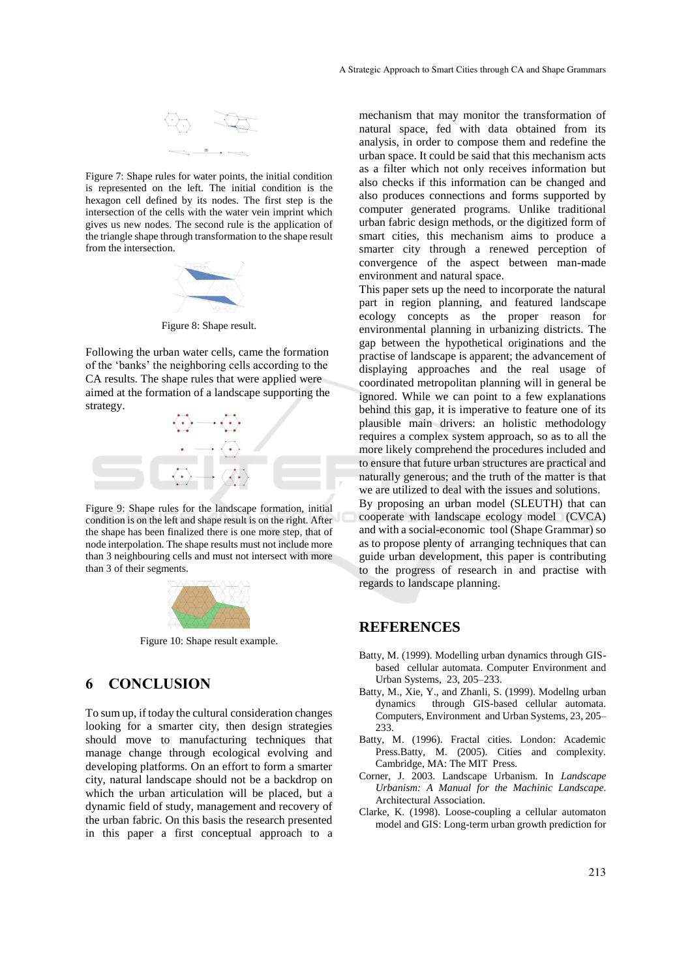

Figure 7: Shape rules for water points, the initial condition is represented on the left. The initial condition is the hexagon cell defined by its nodes. The first step is the intersection of the cells with the water vein imprint which gives us new nodes. The second rule is the application of the triangle shape through transformation to the shape result from the intersection.



Figure 8: Shape result.

Following the urban water cells, came the formation of the 'banks' the neighboring cells according to the CA results. The shape rules that were applied were aimed at the formation of a landscape supporting the strategy.



Figure 9: Shape rules for the landscape formation, initial condition is on the left and shape result is on the right. After the shape has been finalized there is one more step, that of node interpolation. The shape results must not include more than 3 neighbouring cells and must not intersect with more than 3 of their segments.



Figure 10: Shape result example.

## **6 CONCLUSION**

To sum up, if today the cultural consideration changes looking for a smarter city, then design strategies should move to manufacturing techniques that manage change through ecological evolving and developing platforms. On an effort to form a smarter city, natural landscape should not be a backdrop on which the urban articulation will be placed, but a dynamic field of study, management and recovery of the urban fabric. On this basis the research presented in this paper a first conceptual approach to a

mechanism that may monitor the transformation of natural space, fed with data obtained from its analysis, in order to compose them and redefine the urban space. It could be said that this mechanism acts as a filter which not only receives information but also checks if this information can be changed and also produces connections and forms supported by computer generated programs. Unlike traditional urban fabric design methods, or the digitized form of smart cities, this mechanism aims to produce a smarter city through a renewed perception of convergence of the aspect between man-made environment and natural space.

This paper sets up the need to incorporate the natural part in region planning, and featured landscape ecology concepts as the proper reason for environmental planning in urbanizing districts. The gap between the hypothetical originations and the practise of landscape is apparent; the advancement of displaying approaches and the real usage of coordinated metropolitan planning will in general be ignored. While we can point to a few explanations behind this gap, it is imperative to feature one of its plausible main drivers: an holistic methodology requires a complex system approach, so as to all the more likely comprehend the procedures included and to ensure that future urban structures are practical and naturally generous; and the truth of the matter is that we are utilized to deal with the issues and solutions.

By proposing an urban model (SLEUTH) that can cooperate with landscape ecology model (CVCA) and with a social-economic tool (Shape Grammar) so as to propose plenty of arranging techniques that can guide urban development, this paper is contributing to the progress of research in and practise with regards to landscape planning.

#### **REFERENCES**

- Batty, M. (1999). Modelling urban dynamics through GISbased cellular automata. Computer Environment and Urban Systems, 23, 205–233.
- Batty, M., Xie, Y., and Zhanli, S. (1999). Modellng urban dynamics through GIS-based cellular automata. Computers, Environment and Urban Systems, 23, 205– 233.
- Batty, M. (1996). Fractal cities. London: Academic Press.Batty, M. (2005). Cities and complexity. Cambridge, MA: The MIT Press.
- Corner, J. 2003. Landscape Urbanism. In *Landscape Urbanism: A Manual for the Machinic Landscape.*  Architectural Association.
- Clarke, K. (1998). Loose-coupling a cellular automaton model and GIS: Long-term urban growth prediction for